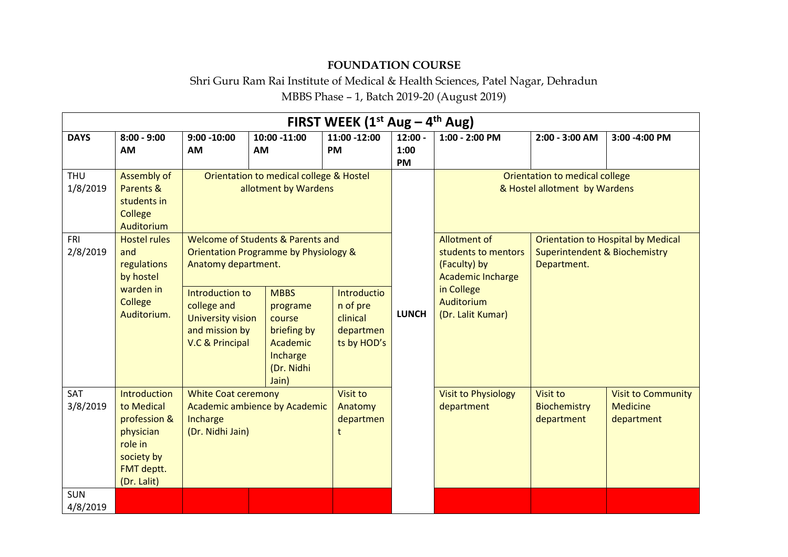## **FOUNDATION COURSE**

## Shri Guru Ram Rai Institute of Medical & Health Sciences, Patel Nagar, Dehradun MBBS Phase – 1, Batch 2019-20 (August 2019)

|                        | FIRST WEEK $(1^{st}$ Aug – 4 <sup>th</sup> Aug)                                                                      |                                                                                                 |                                                                                                 |                                                                        |                                                                                                |                                               |                                                                 |                                                                                       |  |  |
|------------------------|----------------------------------------------------------------------------------------------------------------------|-------------------------------------------------------------------------------------------------|-------------------------------------------------------------------------------------------------|------------------------------------------------------------------------|------------------------------------------------------------------------------------------------|-----------------------------------------------|-----------------------------------------------------------------|---------------------------------------------------------------------------------------|--|--|
| <b>DAYS</b>            | $8:00 - 9:00$<br><b>AM</b>                                                                                           | $9:00 - 10:00$<br><b>AM</b>                                                                     | 10:00 -11:00<br><b>AM</b>                                                                       | 11:00 -12:00<br><b>PM</b>                                              | $12:00 -$<br>1:00<br><b>PM</b>                                                                 | 1:00 - 2:00 PM                                | 2:00 - 3:00 AM                                                  | 3:00 -4:00 PM                                                                         |  |  |
| <b>THU</b><br>1/8/2019 | <b>Assembly of</b><br>Parents &<br>students in<br><b>College</b><br><b>Auditorium</b>                                |                                                                                                 | Orientation to medical college & Hostel<br>allotment by Wardens                                 |                                                                        |                                                                                                |                                               | Orientation to medical college<br>& Hostel allotment by Wardens |                                                                                       |  |  |
| <b>FRI</b><br>2/8/2019 | <b>Hostel rules</b><br>and<br>regulations<br>by hostel<br>warden in<br>College<br>Auditorium.                        | Anatomy department.                                                                             | Welcome of Students & Parents and<br>Orientation Programme by Physiology &                      |                                                                        | Allotment of<br>students to mentors<br>(Faculty) by<br>Department.<br><b>Academic Incharge</b> |                                               |                                                                 | <b>Orientation to Hospital by Medical</b><br><b>Superintendent &amp; Biochemistry</b> |  |  |
|                        |                                                                                                                      | Introduction to<br>college and<br><b>University vision</b><br>and mission by<br>V.C & Principal | <b>MBBS</b><br>programe<br>course<br>briefing by<br>Academic<br>Incharge<br>(Dr. Nidhi<br>Jain) | <b>Introductio</b><br>n of pre<br>clinical<br>departmen<br>ts by HOD's | <b>LUNCH</b>                                                                                   | in College<br>Auditorium<br>(Dr. Lalit Kumar) |                                                                 |                                                                                       |  |  |
| SAT<br>3/8/2019        | <b>Introduction</b><br>to Medical<br>profession &<br>physician<br>role in<br>society by<br>FMT deptt.<br>(Dr. Lalit) | <b>White Coat ceremony</b><br>Academic ambience by Academic<br>Incharge<br>(Dr. Nidhi Jain)     |                                                                                                 | <b>Visit to</b><br>Anatomy<br>departmen<br>t                           |                                                                                                | <b>Visit to Physiology</b><br>department      | <b>Visit to</b><br>Biochemistry<br>department                   | <b>Visit to Community</b><br><b>Medicine</b><br>department                            |  |  |
| <b>SUN</b><br>4/8/2019 |                                                                                                                      |                                                                                                 |                                                                                                 |                                                                        |                                                                                                |                                               |                                                                 |                                                                                       |  |  |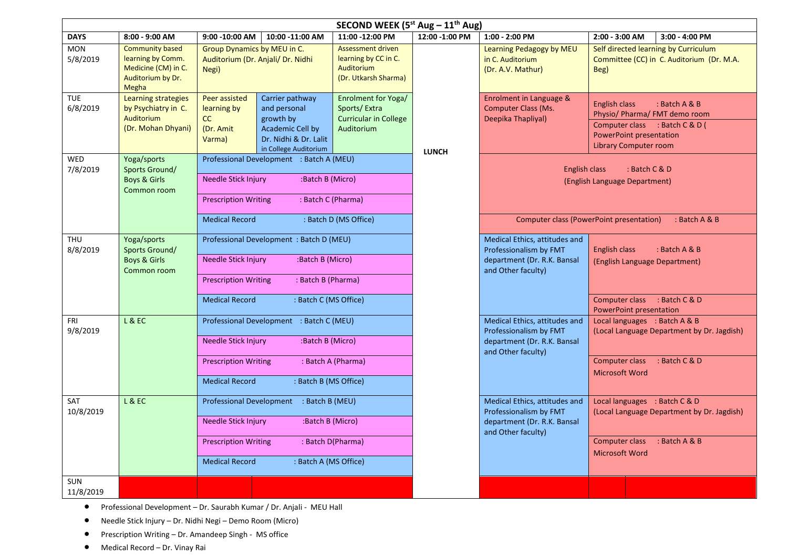| SECOND WEEK (5st Aug - 11 <sup>th</sup> Aug) |                                                                                                  |                                                                                                |                                                                                                                    |                                                                                   |                |                                                                                                              |                                                                                                                                                                            |  |  |
|----------------------------------------------|--------------------------------------------------------------------------------------------------|------------------------------------------------------------------------------------------------|--------------------------------------------------------------------------------------------------------------------|-----------------------------------------------------------------------------------|----------------|--------------------------------------------------------------------------------------------------------------|----------------------------------------------------------------------------------------------------------------------------------------------------------------------------|--|--|
| <b>DAYS</b>                                  | 8:00 - 9:00 AM                                                                                   | 9:00 - 10:00 AM                                                                                | 10:00 -11:00 AM                                                                                                    | 11:00 -12:00 PM                                                                   | 12:00 -1:00 PM | 1:00 - 2:00 PM                                                                                               | 2:00 - 3:00 AM<br>3:00 - 4:00 PM                                                                                                                                           |  |  |
| <b>MON</b><br>5/8/2019                       | <b>Community based</b><br>learning by Comm.<br>Medicine (CM) in C.<br>Auditorium by Dr.<br>Megha | Group Dynamics by MEU in C.<br>Auditorium (Dr. Anjali/ Dr. Nidhi<br><b>Auditorium</b><br>Negi) |                                                                                                                    | <b>Assessment driven</b><br>learning by CC in C.<br>(Dr. Utkarsh Sharma)          |                | Learning Pedagogy by MEU<br>in C. Auditorium<br>(Dr. A.V. Mathur)                                            | Self directed learning by Curriculum<br>Committee (CC) in C. Auditorium (Dr. M.A.<br>Beg)                                                                                  |  |  |
| <b>TUE</b><br>6/8/2019                       | <b>Learning strategies</b><br>by Psychiatry in C.<br>Auditorium<br>(Dr. Mohan Dhyani)            | <b>Peer assisted</b><br>learning by<br><b>CC</b><br>(Dr. Amit<br>Varma)                        | Carrier pathway<br>and personal<br>growth by<br>Academic Cell by<br>Dr. Nidhi & Dr. Lalit<br>in College Auditorium | Enrolment for Yoga/<br>Sports/Extra<br><b>Curricular in College</b><br>Auditorium | <b>LUNCH</b>   | Enrolment in Language &<br>Computer Class (Ms.<br>Deepika Thapliyal)                                         | <b>English class</b><br>: Batch A & B<br>Physio/ Pharma/ FMT demo room<br>Computer class : Batch C & D (<br><b>PowerPoint presentation</b><br><b>Library Computer room</b> |  |  |
| WED<br>7/8/2019                              | Yoga/sports<br>Sports Ground/                                                                    | Professional Development : Batch A (MEU)                                                       |                                                                                                                    |                                                                                   |                | <b>English class</b>                                                                                         | : Batch C & D                                                                                                                                                              |  |  |
|                                              | <b>Boys &amp; Girls</b><br>Common room                                                           | Needle Stick Injury                                                                            | :Batch B (Micro)                                                                                                   |                                                                                   |                |                                                                                                              | (English Language Department)                                                                                                                                              |  |  |
|                                              |                                                                                                  | <b>Prescription Writing</b>                                                                    | : Batch C (Pharma)                                                                                                 |                                                                                   |                |                                                                                                              |                                                                                                                                                                            |  |  |
|                                              |                                                                                                  | <b>Medical Record</b>                                                                          |                                                                                                                    | : Batch D (MS Office)                                                             |                |                                                                                                              | Computer class (PowerPoint presentation)<br>: Batch A & B                                                                                                                  |  |  |
| <b>THU</b><br>8/8/2019                       | Yoga/sports<br>Sports Ground/<br><b>Boys &amp; Girls</b><br>Common room                          | Professional Development : Batch D (MEU)                                                       |                                                                                                                    |                                                                                   |                | Medical Ethics, attitudes and<br>Professionalism by FMT                                                      | <b>English class</b><br>$:$ Batch A & B                                                                                                                                    |  |  |
|                                              |                                                                                                  | Needle Stick Injury                                                                            | :Batch B (Micro)                                                                                                   |                                                                                   |                | department (Dr. R.K. Bansal<br>and Other faculty)                                                            | (English Language Department)                                                                                                                                              |  |  |
|                                              |                                                                                                  | <b>Prescription Writing</b>                                                                    | : Batch B (Pharma)                                                                                                 |                                                                                   |                |                                                                                                              |                                                                                                                                                                            |  |  |
|                                              |                                                                                                  | <b>Medical Record</b>                                                                          | : Batch C (MS Office)                                                                                              |                                                                                   |                |                                                                                                              | Computer class : Batch C & D<br><b>PowerPoint presentation</b>                                                                                                             |  |  |
| FRI<br>9/8/2019                              | L&EC                                                                                             | Professional Development : Batch C (MEU)                                                       |                                                                                                                    |                                                                                   |                | Medical Ethics, attitudes and<br>Professionalism by FMT                                                      | Local languages : Batch A & B<br>(Local Language Department by Dr. Jagdish)                                                                                                |  |  |
|                                              |                                                                                                  | Needle Stick Injury                                                                            | :Batch B (Micro)                                                                                                   |                                                                                   |                | department (Dr. R.K. Bansal<br>and Other faculty)                                                            |                                                                                                                                                                            |  |  |
|                                              |                                                                                                  | <b>Prescription Writing</b>                                                                    |                                                                                                                    | : Batch A (Pharma)                                                                |                |                                                                                                              | Computer class<br>: Batch C & D<br><b>Microsoft Word</b>                                                                                                                   |  |  |
|                                              |                                                                                                  | <b>Medical Record</b>                                                                          | : Batch B (MS Office)                                                                                              |                                                                                   |                |                                                                                                              |                                                                                                                                                                            |  |  |
| SAT<br>10/8/2019                             | <b>L &amp; EC</b>                                                                                | Professional Development : Batch B (MEU)                                                       |                                                                                                                    |                                                                                   |                | Medical Ethics, attitudes and<br>Professionalism by FMT<br>department (Dr. R.K. Bansal<br>and Other faculty) | Local languages : Batch C & D<br>(Local Language Department by Dr. Jagdish)<br>Computer class<br>$:$ Batch A & B<br><b>Microsoft Word</b>                                  |  |  |
|                                              |                                                                                                  | Needle Stick Injury<br>:Batch B (Micro)                                                        |                                                                                                                    |                                                                                   |                |                                                                                                              |                                                                                                                                                                            |  |  |
|                                              |                                                                                                  | : Batch D(Pharma)<br><b>Prescription Writing</b>                                               |                                                                                                                    |                                                                                   |                |                                                                                                              |                                                                                                                                                                            |  |  |
|                                              |                                                                                                  | <b>Medical Record</b>                                                                          | : Batch A (MS Office)                                                                                              |                                                                                   |                |                                                                                                              |                                                                                                                                                                            |  |  |
| SUN<br>11/8/2019                             |                                                                                                  |                                                                                                |                                                                                                                    |                                                                                   |                |                                                                                                              |                                                                                                                                                                            |  |  |

- Professional Development Dr. Saurabh Kumar / Dr. Anjali MEU Hall
- Needle Stick Injury Dr. Nidhi Negi Demo Room (Micro)
- Prescription Writing Dr. Amandeep Singh MS office
- Medical Record Dr. Vinay Rai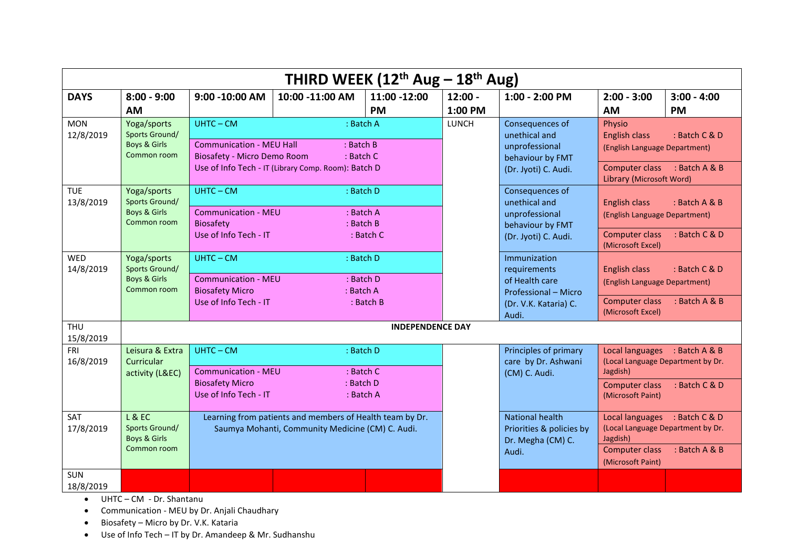|                         | THIRD WEEK $(12th Aug - 18th Aug)$                                  |                                                                                              |                                                                                                              |                           |         |                                                                                                          |                                                                                                                                              |                                                                                     |  |  |
|-------------------------|---------------------------------------------------------------------|----------------------------------------------------------------------------------------------|--------------------------------------------------------------------------------------------------------------|---------------------------|---------|----------------------------------------------------------------------------------------------------------|----------------------------------------------------------------------------------------------------------------------------------------------|-------------------------------------------------------------------------------------|--|--|
| <b>DAYS</b>             | $8:00 - 9:00$                                                       | 9:00 - 10:00 AM<br>10:00 -11:00 AM                                                           |                                                                                                              | 11:00 -12:00<br>$12:00 -$ |         | 1:00 - 2:00 PM                                                                                           | $2:00 - 3:00$                                                                                                                                | $3:00 - 4:00$                                                                       |  |  |
|                         | <b>AM</b>                                                           |                                                                                              |                                                                                                              | <b>PM</b>                 | 1:00 PM |                                                                                                          | AM                                                                                                                                           | <b>PM</b>                                                                           |  |  |
| <b>MON</b><br>12/8/2019 | Yoga/sports<br>Sports Ground/<br>Boys & Girls<br>Common room        | $UHTC - CM$<br><b>Communication - MEU Hall</b><br>Biosafety - Micro Demo Room                | : Batch A<br>: Batch B<br>: Batch C<br>Use of Info Tech - IT (Library Comp. Room): Batch D                   |                           | LUNCH   | Consequences of<br>unethical and<br>unprofessional<br>behaviour by FMT<br>(Dr. Jyoti) C. Audi.           | Physio<br><b>English class</b><br>: Batch C & D<br>(English Language Department)<br>Computer class : Batch A & B<br>Library (Microsoft Word) |                                                                                     |  |  |
| <b>TUE</b><br>13/8/2019 | Yoga/sports<br>Sports Ground/<br>Boys & Girls<br>Common room        | $UHTC - CM$<br><b>Communication - MEU</b><br>Biosafety<br>Use of Info Tech - IT              | : Batch D<br>: Batch A<br>$:$ Batch B                                                                        | $:$ Batch $C$             |         | Consequences of<br>unethical and<br>unprofessional<br>behaviour by FMT<br>(Dr. Jyoti) C. Audi.           | English class<br>(English Language Department)<br><b>Computer class</b><br>(Microsoft Excel)                                                 | : Batch A & B<br>: Batch C & D                                                      |  |  |
| <b>WED</b><br>14/8/2019 | Yoga/sports<br><b>Sports Ground/</b><br>Boys & Girls<br>Common room | $UHTC - CM$<br><b>Communication - MEU</b><br><b>Biosafety Micro</b><br>Use of Info Tech - IT | : Batch D<br>: Batch D<br>: Batch A                                                                          | : Batch B                 |         | Immunization<br>requirements<br>of Health care<br>Professional - Micro<br>(Dr. V.K. Kataria) C.<br>Audi. | <b>English class</b><br>(English Language Department)<br><b>Computer class</b><br>(Microsoft Excel)                                          | : Batch $C & D$<br>: Batch A & B                                                    |  |  |
| <b>THU</b><br>15/8/2019 |                                                                     |                                                                                              |                                                                                                              | <b>INDEPENDENCE DAY</b>   |         |                                                                                                          |                                                                                                                                              |                                                                                     |  |  |
| <b>FRI</b><br>16/8/2019 | Leisura & Extra<br>Curricular<br>activity (L&EC)                    | $UHTC - CM$<br><b>Communication - MEU</b><br><b>Biosafety Micro</b><br>Use of Info Tech - IT | : Batch D<br>: Batch C<br>: Batch D<br>: Batch A                                                             |                           |         | Principles of primary<br>care by Dr. Ashwani<br>(CM) C. Audi.                                            | Jagdish)<br><b>Computer class</b><br>(Microsoft Paint)                                                                                       | Local languages : Batch A & B<br>(Local Language Department by Dr.<br>: Batch C & D |  |  |
| SAT<br>17/8/2019        | L & E<br>Sports Ground/<br>Boys & Girls<br>Common room              |                                                                                              | Learning from patients and members of Health team by Dr.<br>Saumya Mohanti, Community Medicine (CM) C. Audi. |                           |         | National health<br>Priorities & policies by<br>Dr. Megha (CM) C.<br>Audi.                                | Jagdish)<br>Computer class<br>(Microsoft Paint)                                                                                              | Local languages : Batch C & D<br>(Local Language Department by Dr.<br>: Batch A & B |  |  |
| <b>SUN</b><br>18/8/2019 |                                                                     |                                                                                              |                                                                                                              |                           |         |                                                                                                          |                                                                                                                                              |                                                                                     |  |  |

UHTC – CM - Dr. Shantanu

Communication - MEU by Dr. Anjali Chaudhary

Biosafety – Micro by Dr. V.K. Kataria

Use of Info Tech – IT by Dr. Amandeep & Mr. Sudhanshu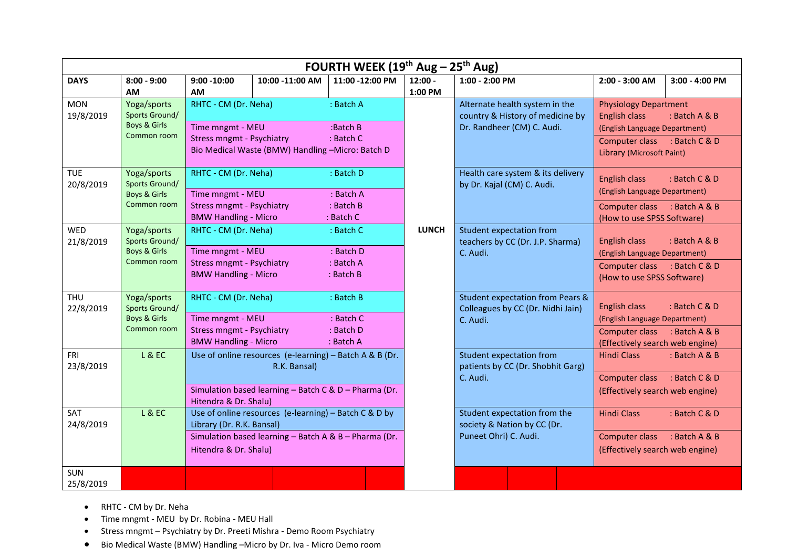| FOURTH WEEK ( $19th$ Aug – $25th$ Aug) |                                                                     |                                                                                                             |                                                                                                                                  |                                                          |                      |                                                                                                  |                                                                                                                                                              |                                             |  |
|----------------------------------------|---------------------------------------------------------------------|-------------------------------------------------------------------------------------------------------------|----------------------------------------------------------------------------------------------------------------------------------|----------------------------------------------------------|----------------------|--------------------------------------------------------------------------------------------------|--------------------------------------------------------------------------------------------------------------------------------------------------------------|---------------------------------------------|--|
| <b>DAYS</b>                            | $8:00 - 9:00$<br>AM                                                 | $9:00 - 10:00$<br>AM                                                                                        | 10:00 -11:00 AM                                                                                                                  | 11:00 -12:00 PM                                          | $12:00 -$<br>1:00 PM | 1:00 - 2:00 PM                                                                                   | 2:00 - 3:00 AM                                                                                                                                               | 3:00 - 4:00 PM                              |  |
| <b>MON</b><br>19/8/2019                | Yoga/sports<br>Sports Ground/<br>Boys & Girls<br>Common room        | RHTC - CM (Dr. Neha)<br>Time mngmt - MEU<br><b>Stress mngmt - Psychiatry</b>                                | Bio Medical Waste (BMW) Handling -Micro: Batch D                                                                                 | : Batch A<br>:Batch B<br>: Batch C                       |                      | Alternate health system in the<br>country & History of medicine by<br>Dr. Randheer (CM) C. Audi. | <b>Physiology Department</b><br>English class<br>: Batch A & B<br>(English Language Department)<br>Computer class : Batch C & D<br>Library (Microsoft Paint) |                                             |  |
| <b>TUE</b><br>20/8/2019                | Yoga/sports<br><b>Sports Ground/</b><br>Boys & Girls<br>Common room | RHTC - CM (Dr. Neha)<br>Time mngmt - MEU<br><b>Stress mngmt - Psychiatry</b><br><b>BMW Handling - Micro</b> |                                                                                                                                  | : Batch D<br>: Batch A<br>: Batch B<br>$:$ Batch $C$     |                      | Health care system & its delivery<br>by Dr. Kajal (CM) C. Audi.                                  | <b>English class</b><br>(English Language Department)<br>Computer class : Batch A & B<br>(How to use SPSS Software)                                          | : Batch $C$ & $D$                           |  |
| <b>WED</b><br>21/8/2019                | Yoga/sports<br><b>Sports Ground/</b><br>Boys & Girls<br>Common room | RHTC - CM (Dr. Neha)<br>Time mngmt - MEU<br><b>Stress mngmt - Psychiatry</b><br><b>BMW Handling - Micro</b> |                                                                                                                                  | : Batch C<br>: Batch D<br>: Batch A<br>: Batch B         | <b>LUNCH</b>         | Student expectation from<br>teachers by CC (Dr. J.P. Sharma)<br>C. Audi.                         | English class<br>(English Language Department)<br>Computer class : Batch C & D<br>(How to use SPSS Software)                                                 | $:$ Batch A & B                             |  |
| <b>THU</b><br>22/8/2019                | Yoga/sports<br><b>Sports Ground/</b><br>Boys & Girls<br>Common room | RHTC - CM (Dr. Neha)<br>Time mngmt - MEU<br><b>Stress mngmt - Psychiatry</b><br><b>BMW Handling - Micro</b> |                                                                                                                                  | $:$ Batch B<br>$:$ Batch $C$<br>$:$ Batch D<br>: Batch A |                      | <b>Student expectation from Pears &amp;</b><br>Colleagues by CC (Dr. Nidhi Jain)<br>C. Audi.     | <b>English class</b><br>(English Language Department)<br>Computer class<br>(Effectively search web engine)                                                   | : Batch $C$ & $D$<br>: Batch A & B          |  |
| <b>FRI</b><br>23/8/2019                | L & E                                                               | Hitendra & Dr. Shalu)                                                                                       | Use of online resources (e-learning) - Batch A & B (Dr.<br>R.K. Bansal)<br>Simulation based learning - Batch C & D - Pharma (Dr. |                                                          |                      | <b>Student expectation from</b><br>patients by CC (Dr. Shobhit Garg)<br>C. Audi.                 | <b>Hindi Class</b><br>Computer class<br>(Effectively search web engine)                                                                                      | : Batch $A & B$<br>$\therefore$ Batch C & D |  |
| SAT<br>24/8/2019                       | L & E                                                               | Library (Dr. R.K. Bansal)<br>Hitendra & Dr. Shalu)                                                          | Use of online resources (e-learning) - Batch C & D by<br>Simulation based learning - Batch A & B - Pharma (Dr.                   |                                                          |                      | Student expectation from the<br>society & Nation by CC (Dr.<br>Puneet Ohri) C. Audi.             | <b>Hindi Class</b><br>Computer class<br>(Effectively search web engine)                                                                                      | : Batch C & D<br>$:$ Batch A & B            |  |
| SUN<br>25/8/2019                       |                                                                     |                                                                                                             |                                                                                                                                  |                                                          |                      |                                                                                                  |                                                                                                                                                              |                                             |  |

- RHTC CM by Dr. Neha
- Time mngmt MEU by Dr. Robina MEU Hall
- Stress mngmt Psychiatry by Dr. Preeti Mishra Demo Room Psychiatry
- Bio Medical Waste (BMW) Handling –Micro by Dr. Iva Micro Demo room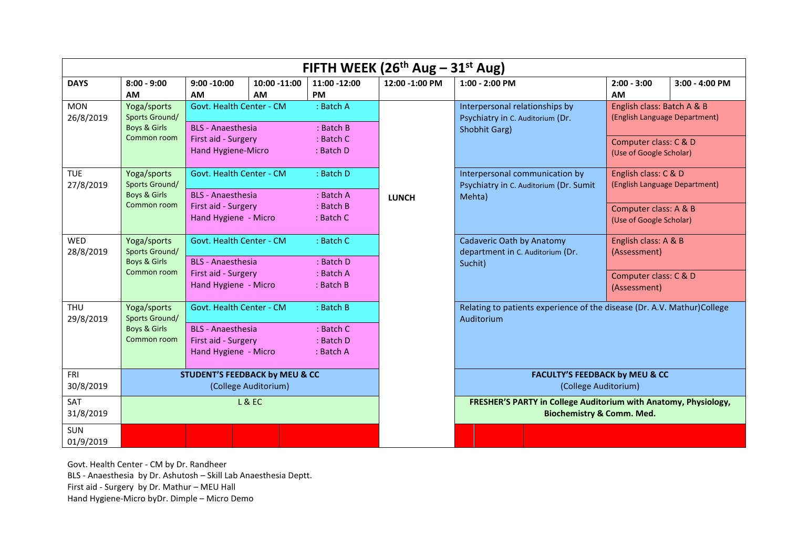|                                       | FIFTH WEEK ( $26th$ Aug – $31st$ Aug)                               |                                                                                                     |                                |                                                          |                |                                                                                     |                                                                                                                                             |                                                                                |                               |  |
|---------------------------------------|---------------------------------------------------------------------|-----------------------------------------------------------------------------------------------------|--------------------------------|----------------------------------------------------------|----------------|-------------------------------------------------------------------------------------|---------------------------------------------------------------------------------------------------------------------------------------------|--------------------------------------------------------------------------------|-------------------------------|--|
| <b>DAYS</b>                           | $8:00 - 9:00$<br>AM                                                 | $9:00 - 10:00$<br><b>AM</b>                                                                         | 10:00 -11:00<br><b>AM</b>      | 11:00 -12:00<br><b>PM</b>                                | 12:00 -1:00 PM | $1:00 - 2:00$ PM                                                                    |                                                                                                                                             | $2:00 - 3:00$<br><b>AM</b>                                                     | 3:00 - 4:00 PM                |  |
| <b>MON</b><br>26/8/2019               | Yoga/sports<br><b>Sports Ground/</b><br>Boys & Girls<br>Common room | Govt. Health Center - CM<br><b>BLS</b> - Anaesthesia<br>First aid - Surgery<br>Hand Hygiene-Micro   |                                | : Batch A<br>: Batch B<br>$:$ Batch $C$<br>: Batch D     |                | Interpersonal relationships by<br>Psychiatry in C. Auditorium (Dr.<br>Shobhit Garg) |                                                                                                                                             | English class: Batch A & B<br>Computer class: C & D<br>(Use of Google Scholar) | (English Language Department) |  |
| <b>TUE</b><br>27/8/2019               | Yoga/sports<br>Sports Ground/<br>Boys & Girls<br>Common room        | Govt. Health Center - CM<br><b>BLS</b> - Anaesthesia<br>First aid - Surgery<br>Hand Hygiene - Micro |                                | : Batch D<br>: Batch A<br>: Batch B<br>: Batch C         | <b>LUNCH</b>   | Interpersonal communication by<br>Mehta)                                            | Psychiatry in C. Auditorium (Dr. Sumit                                                                                                      | English class: C & D<br>Computer class: A & B<br>(Use of Google Scholar)       | (English Language Department) |  |
| <b>WED</b><br>28/8/2019               | Yoga/sports<br>Sports Ground/<br>Boys & Girls<br>Common room        | Govt. Health Center - CM<br><b>BLS</b> - Anaesthesia<br>First aid - Surgery<br>Hand Hygiene - Micro |                                | : Batch C<br>$:$ Batch $D$<br>: Batch A<br>$:$ Batch $B$ |                | Cadaveric Oath by Anatomy<br>department in C. Auditorium (Dr.<br>Suchit)            |                                                                                                                                             | English class: A & B<br>(Assessment)<br>Computer class: C & D<br>(Assessment)  |                               |  |
| <b>THU</b><br>29/8/2019               | Yoga/sports<br>Sports Ground/<br>Boys & Girls<br>Common room        | Govt. Health Center - CM<br><b>BLS</b> - Anaesthesia<br>First aid - Surgery<br>Hand Hygiene - Micro |                                | : Batch B<br>$:$ Batch $C$<br>: Batch D<br>: Batch A     |                | Auditorium                                                                          | Relating to patients experience of the disease (Dr. A.V. Mathur)College                                                                     |                                                                                |                               |  |
| <b>FRI</b><br>30/8/2019<br><b>SAT</b> |                                                                     | <b>STUDENT'S FEEDBACK by MEU &amp; CC</b>                                                           | (College Auditorium)<br>L & EC |                                                          |                |                                                                                     | <b>FACULTY'S FEEDBACK by MEU &amp; CC</b><br>(College Auditorium)<br><b>FRESHER'S PARTY in College Auditorium with Anatomy, Physiology,</b> |                                                                                |                               |  |
| 31/8/2019<br><b>SUN</b><br>01/9/2019  |                                                                     |                                                                                                     |                                |                                                          |                |                                                                                     | <b>Biochemistry &amp; Comm. Med.</b>                                                                                                        |                                                                                |                               |  |

Govt. Health Center - CM by Dr. Randheer BLS - Anaesthesia by Dr. Ashutosh – Skill Lab Anaesthesia Deptt. First aid - Surgery by Dr. Mathur – MEU Hall Hand Hygiene-Micro byDr. Dimple – Micro Demo